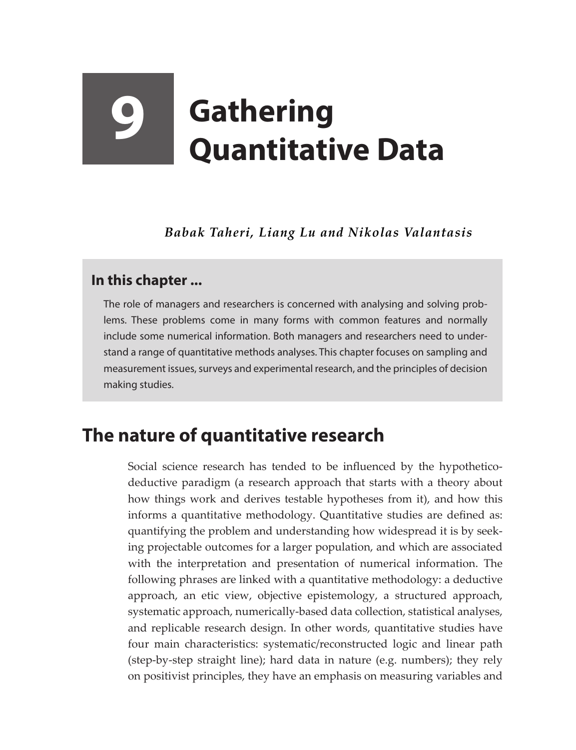# **9 Gathering Quantitative Data**

*Babak Taheri, Liang Lu and Nikolas Valantasis*

## **In this chapter ...**

The role of managers and researchers is concerned with analysing and solving problems. These problems come in many forms with common features and normally include some numerical information. Both managers and researchers need to understand a range of quantitative methods analyses. This chapter focuses on sampling and measurement issues, surveys and experimental research, and the principles of decision making studies.

# **The nature of quantitative research**

Social science research has tended to be influenced by the hypotheticodeductive paradigm (a research approach that starts with a theory about how things work and derives testable hypotheses from it), and how this informs a quantitative methodology. Quantitative studies are defined as: quantifying the problem and understanding how widespread it is by seeking projectable outcomes for a larger population, and which are associated with the interpretation and presentation of numerical information. The following phrases are linked with a quantitative methodology: a deductive approach, an etic view, objective epistemology, a structured approach, systematic approach, numerically-based data collection, statistical analyses, and replicable research design. In other words, quantitative studies have four main characteristics: systematic/reconstructed logic and linear path (step-by-step straight line); hard data in nature (e.g. numbers); they rely on positivist principles, they have an emphasis on measuring variables and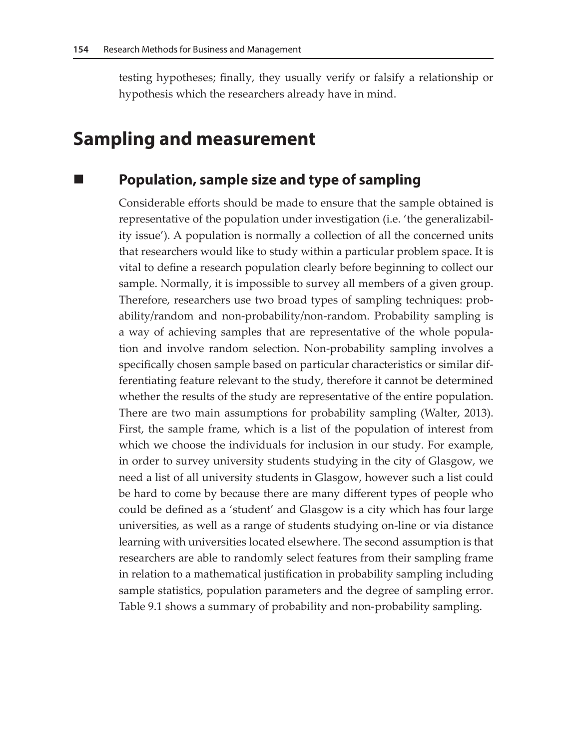testing hypotheses; finally, they usually verify or falsify a relationship or hypothesis which the researchers already have in mind.

# **Sampling and measurement**

### **Population, sample size and type of sampling**

Considerable efforts should be made to ensure that the sample obtained is representative of the population under investigation (i.e. 'the generalizability issue'). A population is normally a collection of all the concerned units that researchers would like to study within a particular problem space. It is vital to define a research population clearly before beginning to collect our sample. Normally, it is impossible to survey all members of a given group. Therefore, researchers use two broad types of sampling techniques: probability/random and non-probability/non-random. Probability sampling is a way of achieving samples that are representative of the whole population and involve random selection. Non-probability sampling involves a specifically chosen sample based on particular characteristics or similar differentiating feature relevant to the study, therefore it cannot be determined whether the results of the study are representative of the entire population. There are two main assumptions for probability sampling (Walter, 2013). First, the sample frame, which is a list of the population of interest from which we choose the individuals for inclusion in our study. For example, in order to survey university students studying in the city of Glasgow, we need a list of all university students in Glasgow, however such a list could be hard to come by because there are many different types of people who could be defined as a 'student' and Glasgow is a city which has four large universities, as well as a range of students studying on-line or via distance learning with universities located elsewhere. The second assumption is that researchers are able to randomly select features from their sampling frame in relation to a mathematical justification in probability sampling including sample statistics, population parameters and the degree of sampling error. Table 9.1 shows a summary of probability and non-probability sampling.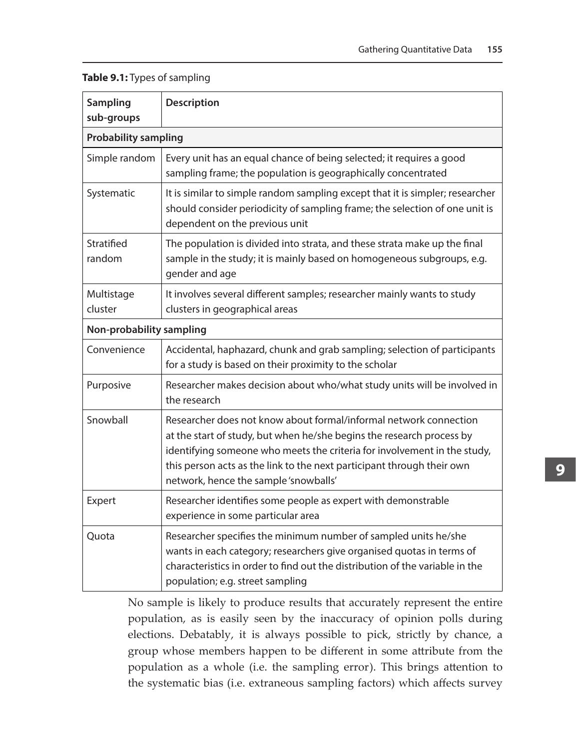| Sampling<br>sub-groups      | <b>Description</b>                                                                                                                                                                                                                                                                                                                        |
|-----------------------------|-------------------------------------------------------------------------------------------------------------------------------------------------------------------------------------------------------------------------------------------------------------------------------------------------------------------------------------------|
| <b>Probability sampling</b> |                                                                                                                                                                                                                                                                                                                                           |
| Simple random               | Every unit has an equal chance of being selected; it requires a good<br>sampling frame; the population is geographically concentrated                                                                                                                                                                                                     |
| Systematic                  | It is similar to simple random sampling except that it is simpler; researcher<br>should consider periodicity of sampling frame; the selection of one unit is<br>dependent on the previous unit                                                                                                                                            |
| Stratified<br>random        | The population is divided into strata, and these strata make up the final<br>sample in the study; it is mainly based on homogeneous subgroups, e.g.<br>gender and age                                                                                                                                                                     |
| Multistage<br>cluster       | It involves several different samples; researcher mainly wants to study<br>clusters in geographical areas                                                                                                                                                                                                                                 |
| Non-probability sampling    |                                                                                                                                                                                                                                                                                                                                           |
| Convenience                 | Accidental, haphazard, chunk and grab sampling; selection of participants<br>for a study is based on their proximity to the scholar                                                                                                                                                                                                       |
| Purposive                   | Researcher makes decision about who/what study units will be involved in<br>the research                                                                                                                                                                                                                                                  |
| Snowball                    | Researcher does not know about formal/informal network connection<br>at the start of study, but when he/she begins the research process by<br>identifying someone who meets the criteria for involvement in the study,<br>this person acts as the link to the next participant through their own<br>network, hence the sample 'snowballs' |
| Expert                      | Researcher identifies some people as expert with demonstrable<br>experience in some particular area                                                                                                                                                                                                                                       |
| Quota                       | Researcher specifies the minimum number of sampled units he/she<br>wants in each category; researchers give organised quotas in terms of<br>characteristics in order to find out the distribution of the variable in the<br>population; e.g. street sampling                                                                              |

#### **Table 9.1:** Types of sampling

No sample is likely to produce results that accurately represent the entire population, as is easily seen by the inaccuracy of opinion polls during elections. Debatably, it is always possible to pick, strictly by chance, a group whose members happen to be different in some attribute from the population as a whole (i.e. the sampling error). This brings attention to the systematic bias (i.e. extraneous sampling factors) which affects survey